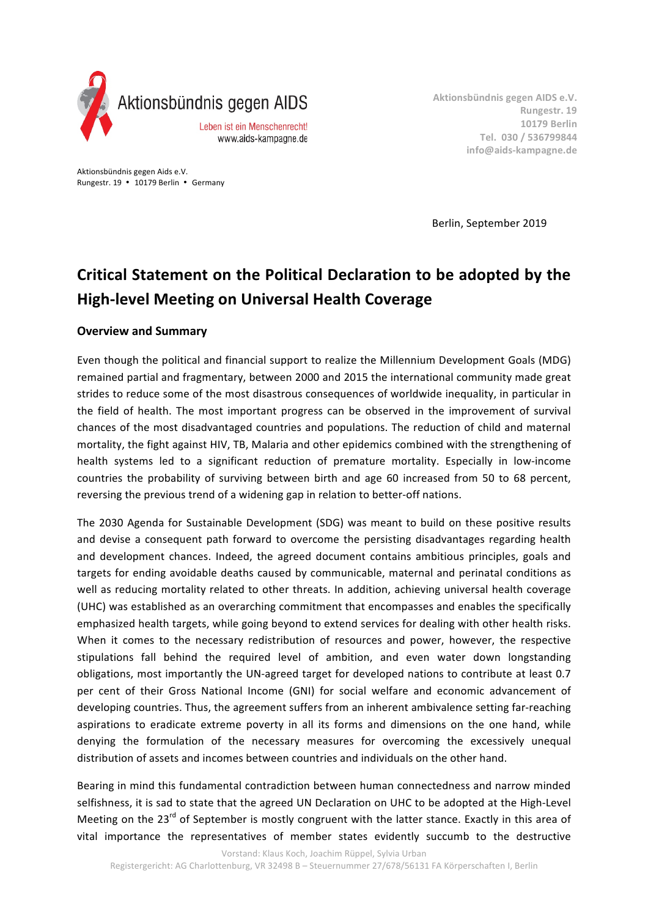

Aktionsbündnis gegen AIDS e.V. **Rungestr. 19 10179 Berlin Tel. 030 / 536799844 info@aids-kampagne.de**

Aktionsbündnis gegen Aids e.V. Rungestr. 19 • 10179 Berlin • Germany

 Berlin, September 2019

# **Critical Statement on the Political Declaration to be adopted by the High-level Meeting on Universal Health Coverage**

#### **Overview and Summary**

Even though the political and financial support to realize the Millennium Development Goals (MDG) remained partial and fragmentary, between 2000 and 2015 the international community made great strides to reduce some of the most disastrous consequences of worldwide inequality, in particular in the field of health. The most important progress can be observed in the improvement of survival chances of the most disadvantaged countries and populations. The reduction of child and maternal mortality, the fight against HIV, TB, Malaria and other epidemics combined with the strengthening of health systems led to a significant reduction of premature mortality. Especially in low-income countries the probability of surviving between birth and age 60 increased from 50 to 68 percent, reversing the previous trend of a widening gap in relation to better-off nations.

The 2030 Agenda for Sustainable Development (SDG) was meant to build on these positive results and devise a consequent path forward to overcome the persisting disadvantages regarding health and development chances. Indeed, the agreed document contains ambitious principles, goals and targets for ending avoidable deaths caused by communicable, maternal and perinatal conditions as well as reducing mortality related to other threats. In addition, achieving universal health coverage (UHC) was established as an overarching commitment that encompasses and enables the specifically emphasized health targets, while going beyond to extend services for dealing with other health risks. When it comes to the necessary redistribution of resources and power, however, the respective stipulations fall behind the required level of ambition, and even water down longstanding obligations, most importantly the UN-agreed target for developed nations to contribute at least 0.7 per cent of their Gross National Income (GNI) for social welfare and economic advancement of developing countries. Thus, the agreement suffers from an inherent ambivalence setting far-reaching aspirations to eradicate extreme poverty in all its forms and dimensions on the one hand, while denying the formulation of the necessary measures for overcoming the excessively unequal distribution of assets and incomes between countries and individuals on the other hand.

Bearing in mind this fundamental contradiction between human connectedness and narrow minded selfishness, it is sad to state that the agreed UN Declaration on UHC to be adopted at the High-Level Meeting on the 23<sup>rd</sup> of September is mostly congruent with the latter stance. Exactly in this area of vital importance the representatives of member states evidently succumb to the destructive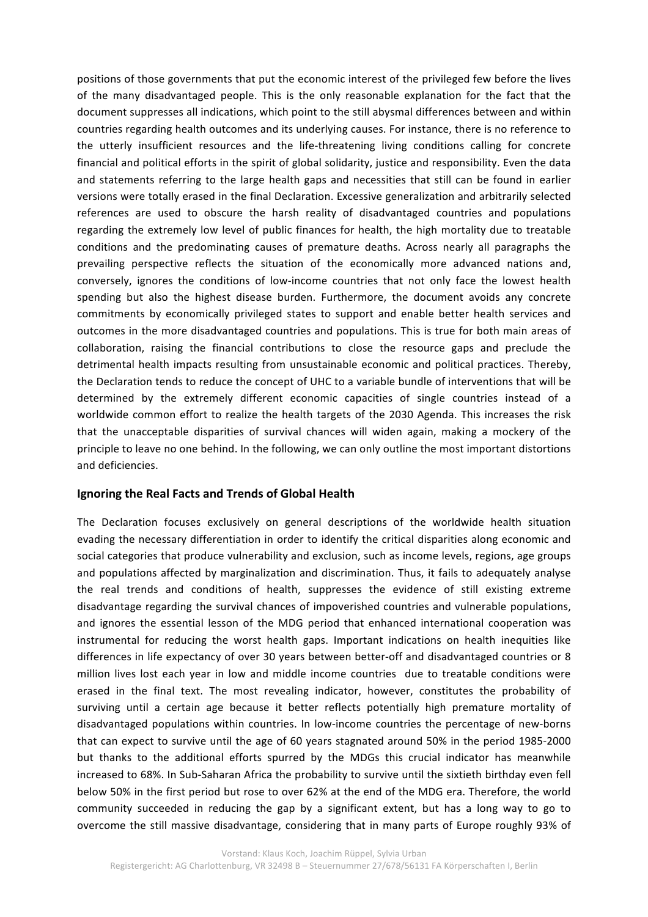positions of those governments that put the economic interest of the privileged few before the lives of the many disadvantaged people. This is the only reasonable explanation for the fact that the document suppresses all indications, which point to the still abysmal differences between and within countries regarding health outcomes and its underlying causes. For instance, there is no reference to the utterly insufficient resources and the life-threatening living conditions calling for concrete financial and political efforts in the spirit of global solidarity, justice and responsibility. Even the data and statements referring to the large health gaps and necessities that still can be found in earlier versions were totally erased in the final Declaration. Excessive generalization and arbitrarily selected references are used to obscure the harsh reality of disadvantaged countries and populations regarding the extremely low level of public finances for health, the high mortality due to treatable conditions and the predominating causes of premature deaths. Across nearly all paragraphs the prevailing perspective reflects the situation of the economically more advanced nations and, conversely, ignores the conditions of low-income countries that not only face the lowest health spending but also the highest disease burden. Furthermore, the document avoids any concrete commitments by economically privileged states to support and enable better health services and outcomes in the more disadvantaged countries and populations. This is true for both main areas of collaboration, raising the financial contributions to close the resource gaps and preclude the detrimental health impacts resulting from unsustainable economic and political practices. Thereby, the Declaration tends to reduce the concept of UHC to a variable bundle of interventions that will be determined by the extremely different economic capacities of single countries instead of a worldwide common effort to realize the health targets of the 2030 Agenda. This increases the risk that the unacceptable disparities of survival chances will widen again, making a mockery of the principle to leave no one behind. In the following, we can only outline the most important distortions and deficiencies.

#### **Ignoring the Real Facts and Trends of Global Health**

The Declaration focuses exclusively on general descriptions of the worldwide health situation evading the necessary differentiation in order to identify the critical disparities along economic and social categories that produce vulnerability and exclusion, such as income levels, regions, age groups and populations affected by marginalization and discrimination. Thus, it fails to adequately analyse the real trends and conditions of health, suppresses the evidence of still existing extreme disadvantage regarding the survival chances of impoverished countries and vulnerable populations, and ignores the essential lesson of the MDG period that enhanced international cooperation was instrumental for reducing the worst health gaps. Important indications on health inequities like differences in life expectancy of over 30 years between better-off and disadvantaged countries or 8 million lives lost each year in low and middle income countries due to treatable conditions were erased in the final text. The most revealing indicator, however, constitutes the probability of surviving until a certain age because it better reflects potentially high premature mortality of disadvantaged populations within countries. In low-income countries the percentage of new-borns that can expect to survive until the age of 60 years stagnated around 50% in the period 1985-2000 but thanks to the additional efforts spurred by the MDGs this crucial indicator has meanwhile increased to 68%. In Sub-Saharan Africa the probability to survive until the sixtieth birthday even fell below 50% in the first period but rose to over 62% at the end of the MDG era. Therefore, the world community succeeded in reducing the gap by a significant extent, but has a long way to go to overcome the still massive disadvantage, considering that in many parts of Europe roughly 93% of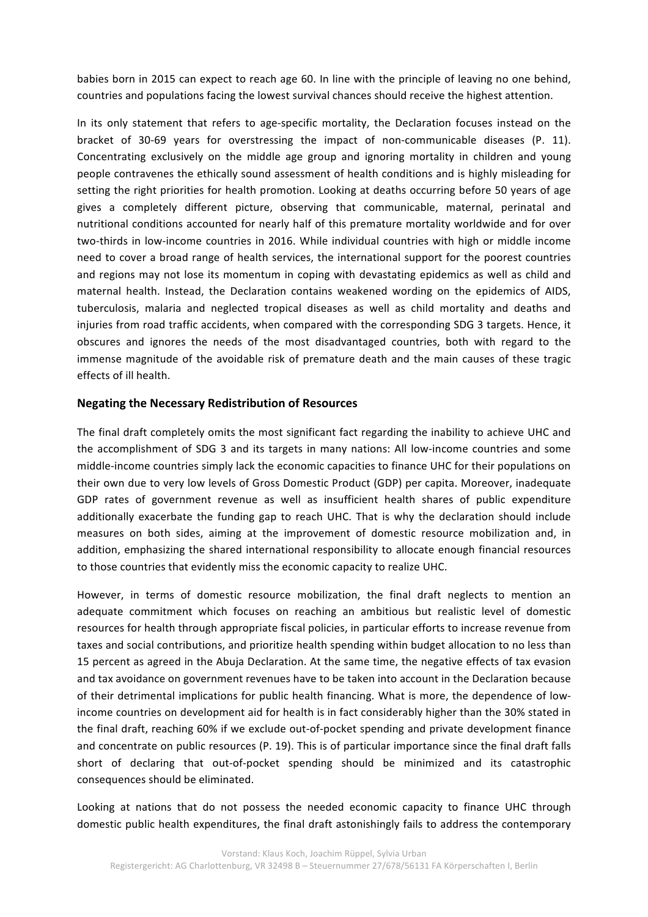babies born in 2015 can expect to reach age 60. In line with the principle of leaving no one behind, countries and populations facing the lowest survival chances should receive the highest attention.

In its only statement that refers to age-specific mortality, the Declaration focuses instead on the bracket of 30-69 years for overstressing the impact of non-communicable diseases (P. 11). Concentrating exclusively on the middle age group and ignoring mortality in children and young people contravenes the ethically sound assessment of health conditions and is highly misleading for setting the right priorities for health promotion. Looking at deaths occurring before 50 years of age gives a completely different picture, observing that communicable, maternal, perinatal and nutritional conditions accounted for nearly half of this premature mortality worldwide and for over two-thirds in low-income countries in 2016. While individual countries with high or middle income need to cover a broad range of health services, the international support for the poorest countries and regions may not lose its momentum in coping with devastating epidemics as well as child and maternal health. Instead, the Declaration contains weakened wording on the epidemics of AIDS, tuberculosis, malaria and neglected tropical diseases as well as child mortality and deaths and injuries from road traffic accidents, when compared with the corresponding SDG 3 targets. Hence, it obscures and ignores the needs of the most disadvantaged countries, both with regard to the immense magnitude of the avoidable risk of premature death and the main causes of these tragic effects of ill health.

#### **Negating the Necessary Redistribution of Resources**

The final draft completely omits the most significant fact regarding the inability to achieve UHC and the accomplishment of SDG 3 and its targets in many nations: All low-income countries and some middle-income countries simply lack the economic capacities to finance UHC for their populations on their own due to very low levels of Gross Domestic Product (GDP) per capita. Moreover, inadequate GDP rates of government revenue as well as insufficient health shares of public expenditure additionally exacerbate the funding gap to reach UHC. That is why the declaration should include measures on both sides, aiming at the improvement of domestic resource mobilization and, in addition, emphasizing the shared international responsibility to allocate enough financial resources to those countries that evidently miss the economic capacity to realize UHC.

However, in terms of domestic resource mobilization, the final draft neglects to mention an adequate commitment which focuses on reaching an ambitious but realistic level of domestic resources for health through appropriate fiscal policies, in particular efforts to increase revenue from taxes and social contributions, and prioritize health spending within budget allocation to no less than 15 percent as agreed in the Abuja Declaration. At the same time, the negative effects of tax evasion and tax avoidance on government revenues have to be taken into account in the Declaration because of their detrimental implications for public health financing. What is more, the dependence of lowincome countries on development aid for health is in fact considerably higher than the 30% stated in the final draft, reaching 60% if we exclude out-of-pocket spending and private development finance and concentrate on public resources (P. 19). This is of particular importance since the final draft falls short of declaring that out-of-pocket spending should be minimized and its catastrophic consequences should be eliminated.

Looking at nations that do not possess the needed economic capacity to finance UHC through domestic public health expenditures, the final draft astonishingly fails to address the contemporary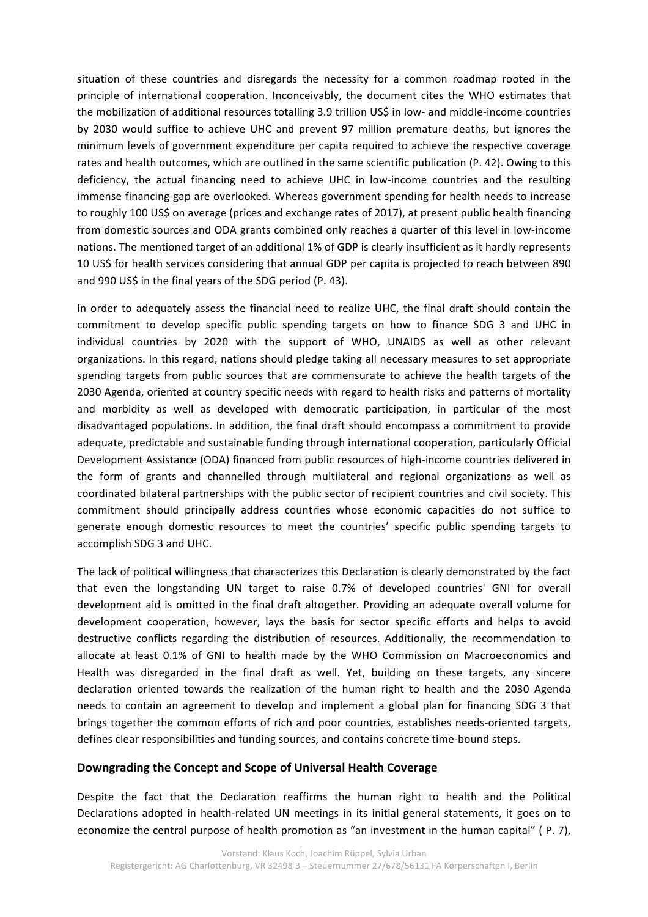situation of these countries and disregards the necessity for a common roadmap rooted in the principle of international cooperation. Inconceivably, the document cites the WHO estimates that the mobilization of additional resources totalling 3.9 trillion US\$ in low- and middle-income countries by 2030 would suffice to achieve UHC and prevent 97 million premature deaths, but ignores the minimum levels of government expenditure per capita required to achieve the respective coverage rates and health outcomes, which are outlined in the same scientific publication (P. 42). Owing to this deficiency, the actual financing need to achieve UHC in low-income countries and the resulting immense financing gap are overlooked. Whereas government spending for health needs to increase to roughly 100 US\$ on average (prices and exchange rates of 2017), at present public health financing from domestic sources and ODA grants combined only reaches a quarter of this level in low-income nations. The mentioned target of an additional 1% of GDP is clearly insufficient as it hardly represents 10 US\$ for health services considering that annual GDP per capita is projected to reach between 890 and 990 US\$ in the final years of the SDG period (P. 43).

In order to adequately assess the financial need to realize UHC, the final draft should contain the commitment to develop specific public spending targets on how to finance SDG 3 and UHC in individual countries by 2020 with the support of WHO, UNAIDS as well as other relevant organizations. In this regard, nations should pledge taking all necessary measures to set appropriate spending targets from public sources that are commensurate to achieve the health targets of the 2030 Agenda, oriented at country specific needs with regard to health risks and patterns of mortality and morbidity as well as developed with democratic participation, in particular of the most disadvantaged populations. In addition, the final draft should encompass a commitment to provide adequate, predictable and sustainable funding through international cooperation, particularly Official Development Assistance (ODA) financed from public resources of high-income countries delivered in the form of grants and channelled through multilateral and regional organizations as well as coordinated bilateral partnerships with the public sector of recipient countries and civil society. This commitment should principally address countries whose economic capacities do not suffice to generate enough domestic resources to meet the countries' specific public spending targets to accomplish SDG 3 and UHC.

The lack of political willingness that characterizes this Declaration is clearly demonstrated by the fact that even the longstanding UN target to raise 0.7% of developed countries' GNI for overall development aid is omitted in the final draft altogether. Providing an adequate overall volume for development cooperation, however, lays the basis for sector specific efforts and helps to avoid destructive conflicts regarding the distribution of resources. Additionally, the recommendation to allocate at least 0.1% of GNI to health made by the WHO Commission on Macroeconomics and Health was disregarded in the final draft as well. Yet, building on these targets, any sincere declaration oriented towards the realization of the human right to health and the 2030 Agenda needs to contain an agreement to develop and implement a global plan for financing SDG 3 that brings together the common efforts of rich and poor countries, establishes needs-oriented targets, defines clear responsibilities and funding sources, and contains concrete time-bound steps.

#### **Downgrading the Concept and Scope of Universal Health Coverage**

Despite the fact that the Declaration reaffirms the human right to health and the Political Declarations adopted in health-related UN meetings in its initial general statements, it goes on to economize the central purpose of health promotion as "an investment in the human capital" (P. 7),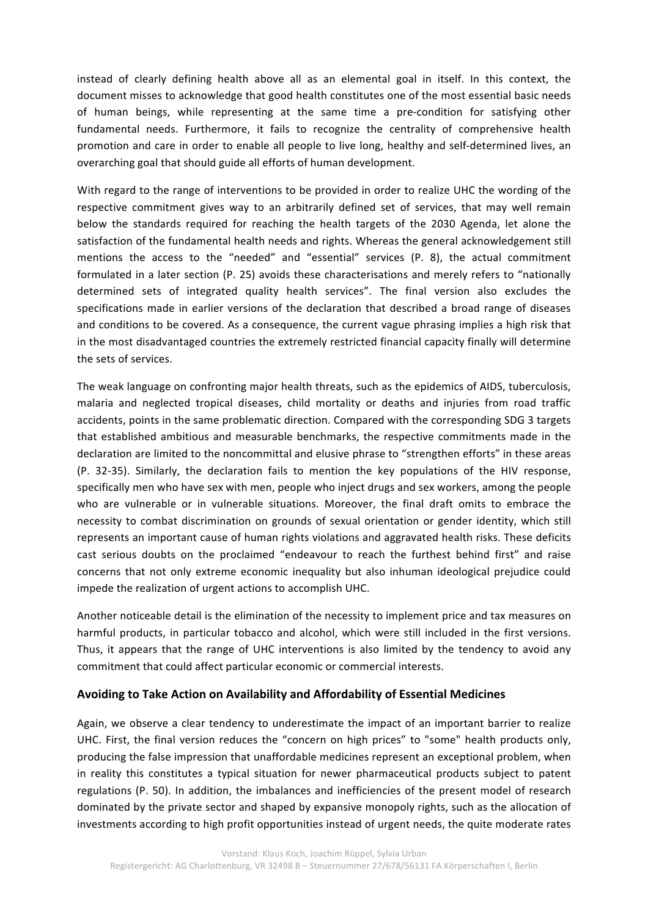instead of clearly defining health above all as an elemental goal in itself. In this context, the document misses to acknowledge that good health constitutes one of the most essential basic needs of human beings, while representing at the same time a pre-condition for satisfying other fundamental needs. Furthermore, it fails to recognize the centrality of comprehensive health promotion and care in order to enable all people to live long, healthy and self-determined lives, an overarching goal that should guide all efforts of human development.

With regard to the range of interventions to be provided in order to realize UHC the wording of the respective commitment gives way to an arbitrarily defined set of services, that may well remain below the standards required for reaching the health targets of the 2030 Agenda, let alone the satisfaction of the fundamental health needs and rights. Whereas the general acknowledgement still mentions the access to the "needed" and "essential" services (P. 8), the actual commitment formulated in a later section (P. 25) avoids these characterisations and merely refers to "nationally determined sets of integrated quality health services". The final version also excludes the specifications made in earlier versions of the declaration that described a broad range of diseases and conditions to be covered. As a consequence, the current vague phrasing implies a high risk that in the most disadvantaged countries the extremely restricted financial capacity finally will determine the sets of services.

The weak language on confronting major health threats, such as the epidemics of AIDS, tuberculosis, malaria and neglected tropical diseases, child mortality or deaths and injuries from road traffic accidents, points in the same problematic direction. Compared with the corresponding SDG 3 targets that established ambitious and measurable benchmarks, the respective commitments made in the declaration are limited to the noncommittal and elusive phrase to "strengthen efforts" in these areas (P. 32-35). Similarly, the declaration fails to mention the key populations of the HIV response, specifically men who have sex with men, people who inject drugs and sex workers, among the people who are vulnerable or in vulnerable situations. Moreover, the final draft omits to embrace the necessity to combat discrimination on grounds of sexual orientation or gender identity, which still represents an important cause of human rights violations and aggravated health risks. These deficits cast serious doubts on the proclaimed "endeavour to reach the furthest behind first" and raise concerns that not only extreme economic inequality but also inhuman ideological prejudice could impede the realization of urgent actions to accomplish UHC.

Another noticeable detail is the elimination of the necessity to implement price and tax measures on harmful products, in particular tobacco and alcohol, which were still included in the first versions. Thus, it appears that the range of UHC interventions is also limited by the tendency to avoid any commitment that could affect particular economic or commercial interests.

## Avoiding to Take Action on Availability and Affordability of Essential Medicines

Again, we observe a clear tendency to underestimate the impact of an important barrier to realize UHC. First, the final version reduces the "concern on high prices" to "some" health products only, producing the false impression that unaffordable medicines represent an exceptional problem, when in reality this constitutes a typical situation for newer pharmaceutical products subject to patent regulations (P. 50). In addition, the imbalances and inefficiencies of the present model of research dominated by the private sector and shaped by expansive monopoly rights, such as the allocation of investments according to high profit opportunities instead of urgent needs, the quite moderate rates